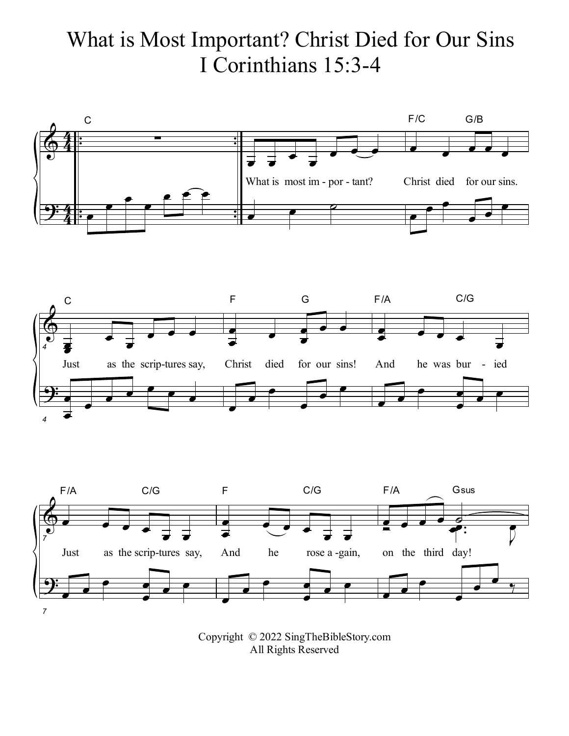## What is Most Important? Christ Died for Our Sins I Corinthians 15:3-4







Copyright © 2022 SingTheBibleStory.com All Rights Reserved